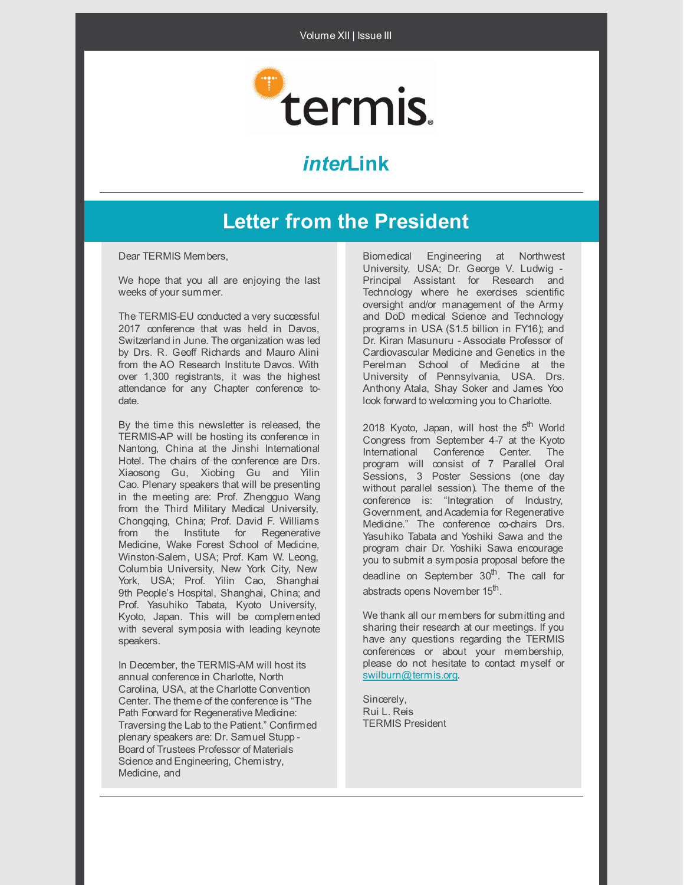

# *inter***Link**

# **Letter from the President**

Dear TERMIS Members,

We hope that you all are enjoying the last weeks of your summer.

The TERMIS-EU conducted a very successful 2017 conference that was held in Davos. Switzerland in June. The organization was led by Drs. R. Geoff Richards and Mauro Alini from the AO Research Institute Davos. With over 1,300 registrants, it was the highest attendance for any Chapter conference todate.

By the time this newsletter is released, the TERMIS-AP will be hosting its conference in Nantong, China at the Jinshi International Hotel. The chairs of the conference are Drs. Xiaosong Gu, Xiobing Gu and Yilin Cao. Plenary speakers that will be presenting in the meeting are: Prof. Zhengguo Wang from the Third Military Medical University, Chongqing, China; Prof. David F. Williams from the Institute for Regenerative Medicine, Wake Forest School of Medicine, Winston-Salem, USA; Prof. Kam W. Leong, Columbia University, New York City, New York, USA; Prof. Yilin Cao, Shanghai 9th People's Hospital, Shanghai, China; and Prof. Yasuhiko Tabata, Kyoto University, Kyoto, Japan. This will be complemented with several symposia with leading keynote speakers.

In December, the TERMIS-AM will host its annual conference in Charlotte, North Carolina, USA, at the Charlotte Convention Center. The theme of the conference is "The Path Forward for Regenerative Medicine: Traversing the Lab to the Patient." Confirmed plenary speakers are: Dr. Samuel Stupp - Board of Trustees Professor of Materials Science and Engineering, Chemistry, Medicine, and

Biomedical Engineering at Northwest University, USA; Dr. George V. Ludwig - Principal Assistant for Research and Technology where he exercises scientific oversight and/or management of the Army and DoD medical Science and Technology programs in USA (\$1.5 billion in FY16); and Dr. Kiran Masunuru - Associate Professor of Cardiovascular Medicine and Genetics in the Perelman School of Medicine at the University of Pennsylvania, USA. Drs. Anthony Atala, Shay Soker and James Yoo look forward to welcoming you to Charlotte.

2018 Kyoto, Japan, will host the 5<sup>th</sup> World Congress from September 4-7 at the Kyoto International Conference Center. The program will consist of 7 Parallel Oral Sessions, 3 Poster Sessions (one day without parallel session). The theme of the conference is: "Integration of Industry, Government, andAcademia for Regenerative Medicine." The conference co-chairs Drs. Yasuhiko Tabata and Yoshiki Sawa and the program chair Dr. Yoshiki Sawa encourage you to submit a symposia proposal before the deadline on September 30<sup>th</sup>. The call for abstracts opens November 15<sup>th</sup>.

We thank all our members for submitting and sharing their research at our meetings. If you have any questions regarding the TERMIS conferences or about your membership, please do not hesitate to contact myself or [swilburn@termis.org](mailto:swilburn@termis.org).

Sincerely, Rui L. Reis TERMIS President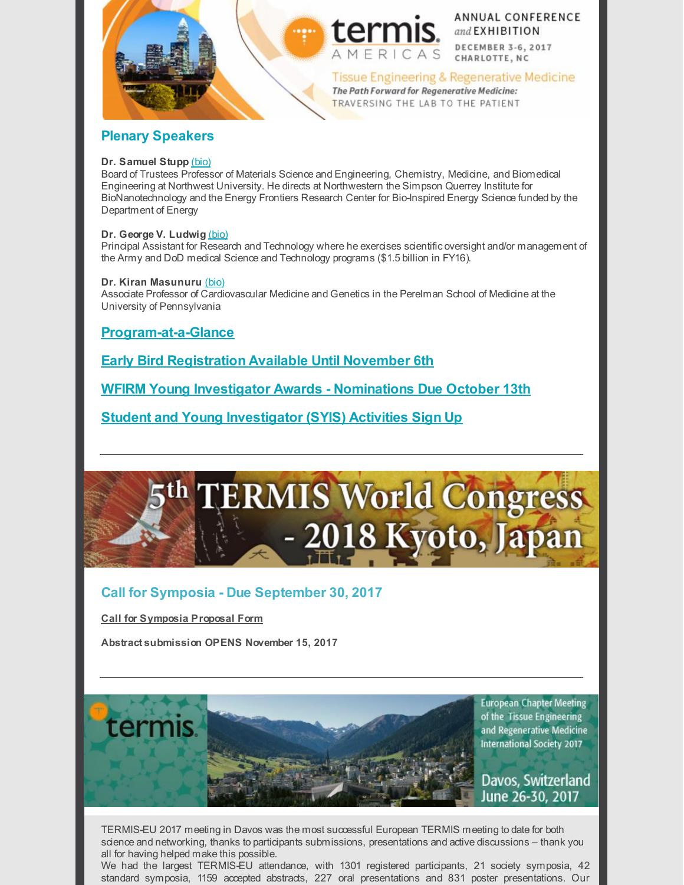



**ANNUAL CONFERENCE** and EXHIBITION **DECEMBER 3-6, 2017** CHARLOTTE, NC

Tissue Engineering & Regenerative Medicine The Path Forward for Regenerative Medicine: TRAVERSING THE LAB TO THE PATIENT

# **Plenary Speakers**

### **Dr. Samuel Stupp** [\(bio\)](https://www.termis.org/am2017/keynote.php?s=stupp)

Board of Trustees Professor of Materials Science and Engineering, Chemistry, Medicine, and Biomedical Engineering at Northwest University. He directs at Northwestern the Simpson Querrey Institute for BioNanotechnology and the Energy Frontiers Research Center for Bio-Inspired Energy Science funded by the Department of Energy

### **Dr. George V. Ludwig** [\(bio\)](https://www.termis.org/am2017/keynote.php?s=ludwig)

Principal Assistant for Research and Technology where he exercises scientific oversight and/or management of the Army and DoD medical Science and Technology programs (\$1.5 billion in FY16).

### **Dr. Kiran Masunuru** [\(bio\)](https://www.termis.org/am2017/keynote.php?s=kiran)

Associate Professor of Cardiovascular Medicine and Genetics in the Perelman School of Medicine at the University of Pennsylvania

# **[Program-at-a-Glance](https://www.termis.org/am2017/glance.php)**

**Early Bird [Registration](https://www.termis.org/am2017/register.php) Available Until November 6th**

**WFIRM Young Investigator Awards - [Nominations](https://www.termis.org/am2017/wfirm.php) Due October 13th**

**Student and Young [Investigator](https://www.termis.org/am2017/syis.php) (SYIS) Activities Sign Up**

# th TERMIS World Congress 2018 Kyoto, Japan

# **Call for Symposia - Due September 30, 2017**

**Call for [Symposia](https://www.termis.org/wc2018/docs/Symposia-Template-2018.docx) Proposal Form**

termis.

**Abstract submission OPENS November 15, 2017**

**European Chapter Meeting** of the Tissue Engineering and Regenerative Medicine **International Society 2017** 

Davos, Switzerland June 26-30, 2017

TERMIS-EU 2017 meeting in Davos was the most successful European TERMIS meeting to date for both science and networking, thanks to participants submissions, presentations and active discussions – thank you all for having helped make this possible.

We had the largest TERMIS-EU attendance, with 1301 registered participants, 21 society symposia, 42 standard symposia, 1159 accepted abstracts, 227 oral presentations and 831 poster presentations. Our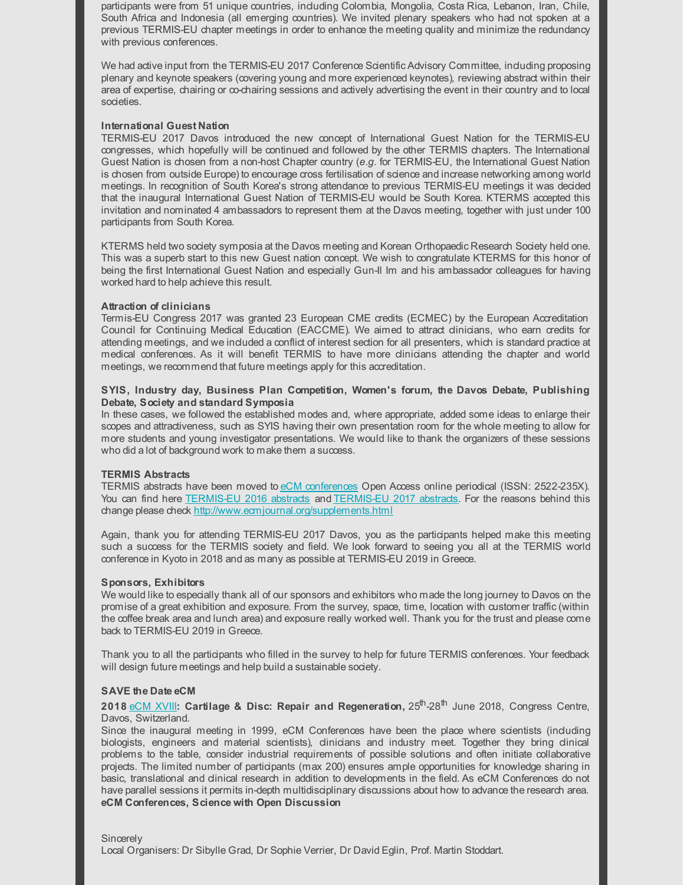participants were from 51 unique countries, including Colombia, Mongolia, Costa Rica, Lebanon, Iran, Chile, South Africa and Indonesia (all emerging countries). We invited plenary speakers who had not spoken at a previous TERMIS-EU chapter meetings in order to enhance the meeting quality and minimize the redundancy with previous conferences.

We had active input from the TERMIS-EU 2017 Conference Scientific Advisory Committee, including proposing plenary and keynote speakers (covering young and more experienced keynotes), reviewing abstract within their area of expertise, chairing or co-chairing sessions and actively advertising the event in their country and to local societies.

### **International Guest Nation**

TERMIS-EU 2017 Davos introduced the new concept of International Guest Nation for the TERMIS-EU congresses, which hopefully will be continued and followed by the other TERMIS chapters. The International Guest Nation is chosen from a non-host Chapter country (*e.g.* for TERMIS-EU, the International Guest Nation is chosen from outside Europe) to encourage cross fertilisation of science and increase networking among world meetings. In recognition of South Korea's strong attendance to previous TERMIS-EU meetings it was decided that the inaugural International Guest Nation of TERMIS-EU would be South Korea. KTERMS accepted this invitation and nominated 4 ambassadors to represent them at the Davos meeting, together with just under 100 participants from South Korea.

KTERMS held two society symposia at the Davos meeting and Korean Orthopaedic Research Society held one. This was a superb start to this new Guest nation concept. We wish to congratulate KTERMS for this honor of being the first International Guest Nation and especially Gun-Il Im and his ambassador colleagues for having worked hard to help achieve this result.

#### **Attraction of clinicians**

Termis-EU Congress 2017 was granted 23 European CME credits (ECMEC) by the European Accreditation Council for Continuing Medical Education (EACCME). We aimed to attract clinicians, who earn credits for attending meetings, and we included a conflict of interest section for all presenters, which is standard practice at medical conferences. As it will benefit TERMIS to have more clinicians attending the chapter and world meetings, we recommend that future meetings apply for this accreditation.

### **SYIS, Industry day, Business Plan Competition, Women's forum, the Davos Debate, Publishing Debate, Society and standard Symposia**

In these cases, we followed the established modes and, where appropriate, added some ideas to enlarge their scopes and attractiveness, such as SYIS having their own presentation room for the whole meeting to allow for more students and young investigator presentations. We would like to thank the organizers of these sessions who did a lot of background work to make them a success.

#### **TERMIS Abstracts**

TERMIS abstracts have been moved to eCM [conferences](http://www.ecmconferences.org/) Open Access online periodical (ISSN: 2522-235X). You can find here [TERMIS-EU](http://ecmconferences.org/abstracts/2017/Collection2/TERMIS_2017.html) 2016 abstracts and TERMIS-EU 2017 abstracts. For the reasons behind this change please check <http://www.ecmjournal.org/supplements.html>

Again, thank you for attending TERMIS-EU 2017 Davos, you as the participants helped make this meeting such a success for the TERMIS society and field. We look forward to seeing you all at the TERMIS world conference in Kyoto in 2018 and as many as possible at TERMIS-EU 2019 in Greece.

#### **Sponsors, Exhibitors**

We would like to especially thank all of our sponsors and exhibitors who made the long journey to Davos on the promise of a great exhibition and exposure. From the survey, space, time, location with customer traffic (within the coffee break area and lunch area) and exposure really worked well. Thank you for the trust and please come back to TERMIS-EU 2019 in Greece.

Thank you to all the participants who filled in the survey to help for future TERMIS conferences. Your feedback will design future meetings and help build a sustainable society.

#### **SAVE the Date eCM**

**2018** [eCM](http://www.ecmconferences.org/meetings.html) XVIII**: Cartilage & Disc: Repair and Regeneration,** 25 th -28 th June 2018, Congress Centre, Davos, Switzerland.

Since the inaugural meeting in 1999, eCM Conferences have been the place where scientists (including biologists, engineers and material scientists), clinicians and industry meet. Together they bring clinical problems to the table, consider industrial requirements of possible solutions and often initiate collaborative projects. The limited number of participants (max 200) ensures ample opportunities for knowledge sharing in basic, translational and clinical research in addition to developments in the field. As eCM Conferences do not have parallel sessions it permits in-depth multidisciplinary discussions about how to advance the research area. **eCM Conferences, Science with Open Discussion**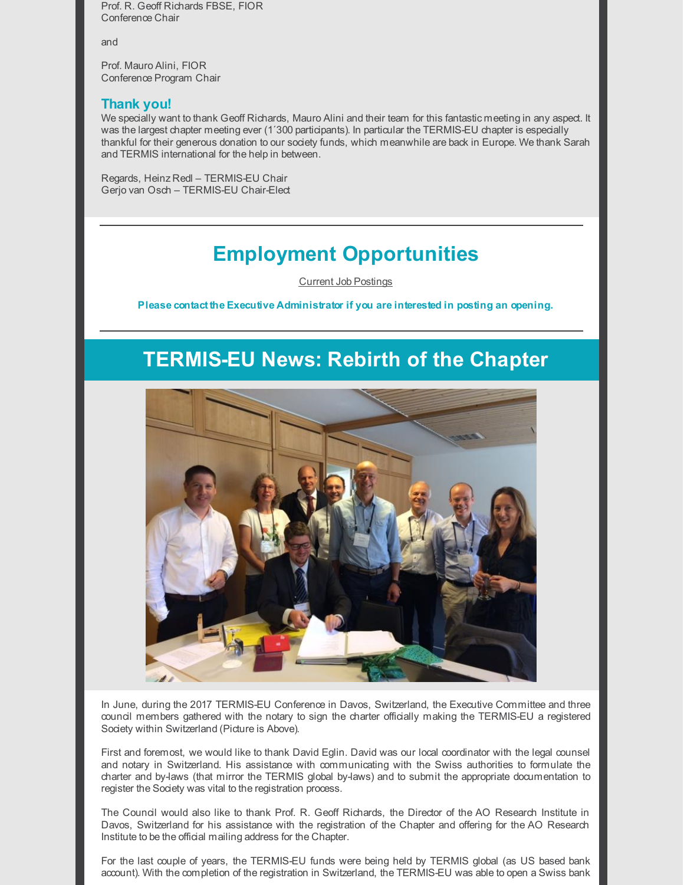Prof. R. Geoff Richards FBSE, FIOR Conference Chair

and

Prof. Mauro Alini, FIOR Conference Program Chair

### **Thank you!**

We specially want to thank Geoff Richards, Mauro Alini and their team for this fantastic meeting in any aspect. It was the largest chapter meeting ever (1<sup>'300</sup> participants). In particular the TERMIS-EU chapter is especially thankful for their generous donation to our society funds, which meanwhile are back in Europe. We thank Sarah and TERMIS international for the help in between.

Regards, Heinz Redl – TERMIS-EU Chair Gerjo van Osch – TERMIS-EU Chair-Elect

# **Employment Opportunities**

Current Job [Postings](https://www.termis.org/employment.php)

**Please contact the Executive Administrator if you are interested in posting an opening.**

# **TERMIS-EU News: Rebirth of the Chapter**



In June, during the 2017 TERMIS-EU Conference in Davos, Switzerland, the Executive Committee and three council members gathered with the notary to sign the charter officially making the TERMIS-EU a registered Society within Switzerland (Picture is Above).

First and foremost, we would like to thank David Eglin. David was our local coordinator with the legal counsel and notary in Switzerland. His assistance with communicating with the Swiss authorities to formulate the charter and by-laws (that mirror the TERMIS global by-laws) and to submit the appropriate documentation to register the Society was vital to the registration process.

The Council would also like to thank Prof. R. Geoff Richards, the Director of the AO Research Institute in Davos, Switzerland for his assistance with the registration of the Chapter and offering for the AO Research Institute to be the official mailing address for the Chapter.

For the last couple of years, the TERMIS-EU funds were being held by TERMIS global (as US based bank account). With the completion of the registration in Switzerland, the TERMIS-EU was able to open a Swiss bank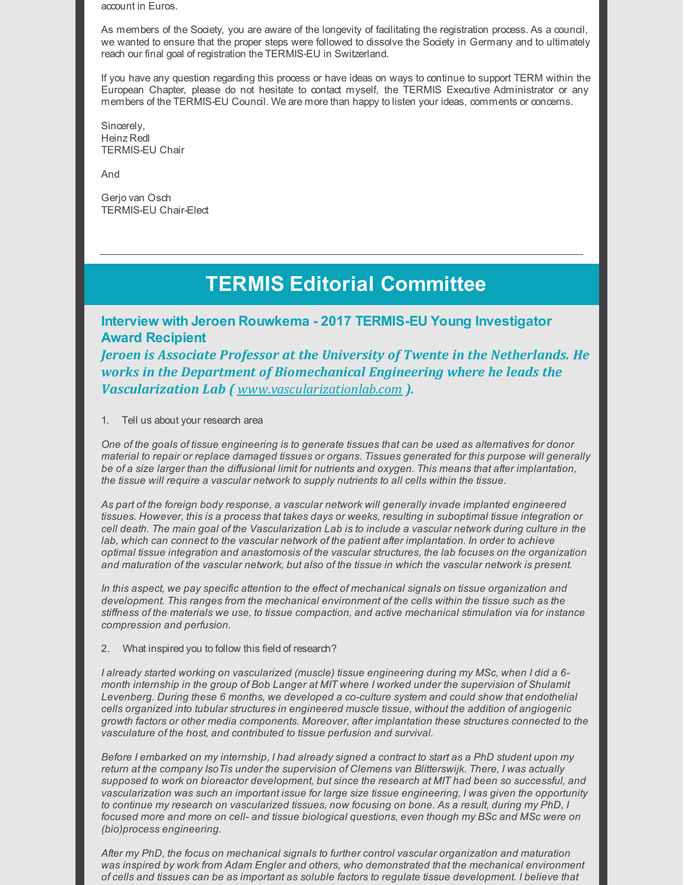account in Euros.

As members of the Society, you are aware of the longevity of facilitating the registration process. As a council, we wanted to ensure that the proper steps were followed to dissolve the Society in Germany and to ultimately reach our final goal of registration the TERMIS-EU in Switzerland.

If you have any question regarding this process or have ideas on ways to continue to support TERM within the European Chapter, please do not hesitate to contact myself, the TERMIS Executive Administrator or any members of the TERMIS-EU Council. We are more than happy to listen your ideas, comments or concerns.

Sincerely, Heinz Redl TERMIS-EU Chair

And

Gerjo van Osch TERMIS-EU Chair-Elect

# **TERMIS Editorial Committee**

**Interview with Jeroen Rouwkema - 2017 TERMIS-EU Young Investigator Award Recipient**

*Jeroen is Associate Professor at the University of Twente in the Netherlands. He works in the Department of Biomechanical Engineering where he leads the Vascularization Lab ( [www.vascularizationlab.com](http://www.vascularizationlab.com/) ).*

1. Tell us about your research area

One of the goals of tissue engineering is to generate tissues that can be used as alternatives for donor *material to repair or replace damaged tissues or organs. Tissues generated for this purpose will generally* be of a size larger than the diffusional limit for nutrients and oxygen. This means that after implantation, *the tissue will require a vascular network to supply nutrients to all cells within the tissue.*

*As part of the foreign body response, a vascular network will generally invade implanted engineered* tissues. However, this is a process that takes days or weeks, resulting in suboptimal tissue integration or cell death. The main goal of the Vascularization Lab is to include a vascular network during culture in the *lab, which can connect to the vascular network of the patient after implantation. In order to achieve optimal tissue integration and anastomosis of the vascular structures, the lab focuses on the organization* and maturation of the vascular network, but also of the tissue in which the vascular network is present.

*In this aspect, we pay specific attention to the effect of mechanical signals on tissue organization and development. This ranges from the mechanical environment of the cells within the tissue such as the stiffness of the materials we use, to tissue compaction, and active mechanical stimulation via for instance compression and perfusion.*

2. What inspired you to follow this field of research?

*I already started working on vascularized (muscle) tissue engineering during my MSc, when I did a 6* month internship in the group of Bob Langer at MIT where I worked under the supervision of Shulamit *Levenberg. During these 6 months, we developed a co-culture system and could show that endothelial cells organized into tubular structures in engineered muscle tissue, without the addition of angiogenic growth factors or other media components. Moreover, after implantation these structures connected to the vasculature of the host, and contributed to tissue perfusion and survival.*

Before I embarked on my internship, I had already signed a contract to start as a PhD student upon my *return at the company IsoTis under the supervision of Clemens van Blitterswijk. There, I was actually supposed to work on bioreactor development, but since the research at MIT had been so successful, and vascularization was such an important issue for large size tissue engineering, I was given the opportunity* to continue my research on vascularized tissues, now focusing on bone. As a result, during my PhD, I *focused more and more on cell- and tissue biological questions, even though my BSc and MSc were on (bio)process engineering.*

*After my PhD, the focus on mechanical signals to further control vascular organization and maturation was inspired by work from Adam Engler and others, who demonstrated that the mechanical environment* of cells and tissues can be as important as soluble factors to regulate tissue development. I believe that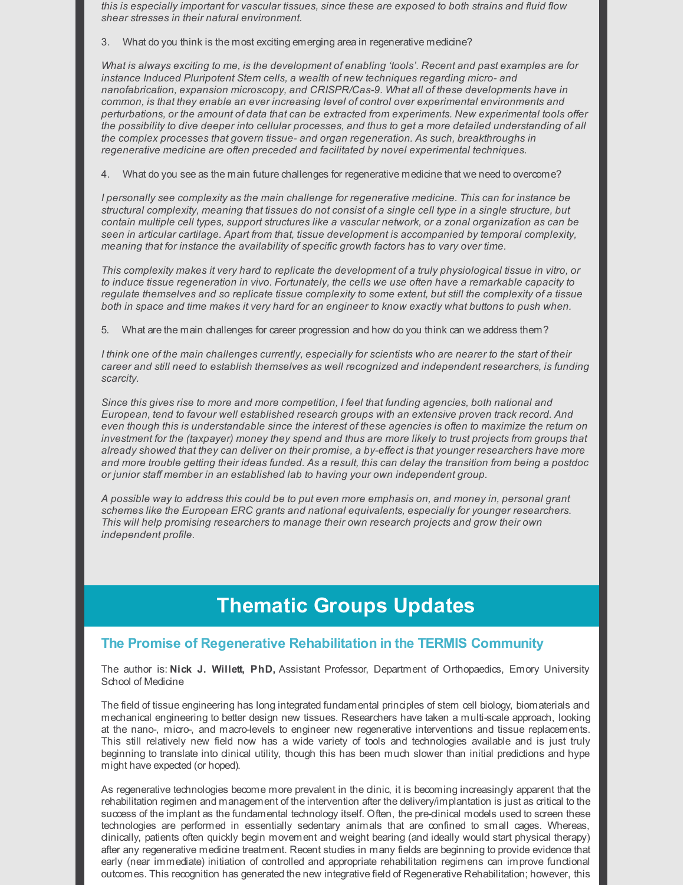*this is especially important for vascular tissues, since these are exposed to both strains and fluid flow shear stresses in their natural environment.*

3. What do you think is the most exciting emerging area in regenerative medicine?

What is always exciting to me, is the development of enabling 'tools'. Recent and past examples are for *instance Induced Pluripotent Stem cells, a wealth of new techniques regarding micro- and nanofabrication, expansion microscopy, and CRISPR/Cas-9. What all of these developments have in common, is that they enable an ever increasing level of control over experimental environments and perturbations, or the amount of data that can be extracted from experiments. New experimental tools offer* the possibility to dive deeper into cellular processes, and thus to get a more detailed understanding of all *the complex processes that govern tissue- and organ regeneration. As such, breakthroughs in regenerative medicine are often preceded and facilitated by novel experimental techniques.*

4. What do you see as the main future challenges for regenerative medicine that we need to overcome?

*I personally see complexity as the main challenge for regenerative medicine. This can for instance be* structural complexity, meaning that tissues do not consist of a single cell type in a single structure, but contain multiple cell types, support structures like a vascular network, or a zonal organization as can be *seen in articular cartilage. Apart from that, tissue development is accompanied by temporal complexity, meaning that for instance the availability of specific growth factors has to vary over time.*

This complexity makes it very hard to replicate the development of a truly physiological tissue in vitro, or *to induce tissue regeneration in vivo. Fortunately, the cells we use often have a remarkable capacity to* regulate themselves and so replicate tissue complexity to some extent, but still the complexity of a tissue both in space and time makes it very hard for an engineer to know exactly what buttons to push when.

5. What are the main challenges for career progression and how do you think can we address them?

I think one of the main challenges currently, especially for scientists who are nearer to the start of their *career and still need to establish themselves as well recognized and independent researchers, is funding scarcity.*

*Since this gives rise to more and more competition, I feel that funding agencies, both national and European, tend to favour well established research groups with an extensive proven track record. And* even though this is understandable since the interest of these agencies is often to maximize the return on investment for the (taxpayer) money they spend and thus are more likely to trust projects from groups that *already showed that they can deliver on their promise, a by-effect is that younger researchers have more* and more trouble getting their ideas funded. As a result, this can delay the transition from being a postdoc *or junior staff member in an established lab to having your own independent group.*

A possible way to address this could be to put even more emphasis on, and money in, personal grant *schemes like the European ERC grants and national equivalents, especially for younger researchers. This will help promising researchers to manage their own research projects and grow their own independent profile.*

# **Thematic Groups Updates**

## **The Promise of Regenerative Rehabilitation in the TERMIS Community**

The author is: **Nick J. Willett, PhD,** Assistant Professor, Department of Orthopaedics, Emory University School of Medicine

The field of tissue engineering has long integrated fundamental principles of stem cell biology, biomaterials and mechanical engineering to better design new tissues. Researchers have taken a multi-scale approach, looking at the nano-, micro-, and macro-levels to engineer new regenerative interventions and tissue replacements. This still relatively new field now has a wide variety of tools and technologies available and is just truly beginning to translate into dinical utility, though this has been much slower than initial predictions and hype might have expected (or hoped).

As regenerative technologies become more prevalent in the clinic, it is becoming increasingly apparent that the rehabilitation regimen and management of the intervention after the delivery/implantation is just as critical to the success of the implant as the fundamental technology itself. Often, the pre-clinical models used to screen these technologies are performed in essentially sedentary animals that are confined to small cages. Whereas, clinically, patients often quickly begin movement and weight bearing (and ideally would start physical therapy) after any regenerative medicine treatment. Recent studies in many fields are beginning to provide evidence that early (near immediate) initiation of controlled and appropriate rehabilitation regimens can improve functional outcomes. This recognition has generated the new integrative field of Regenerative Rehabilitation; however, this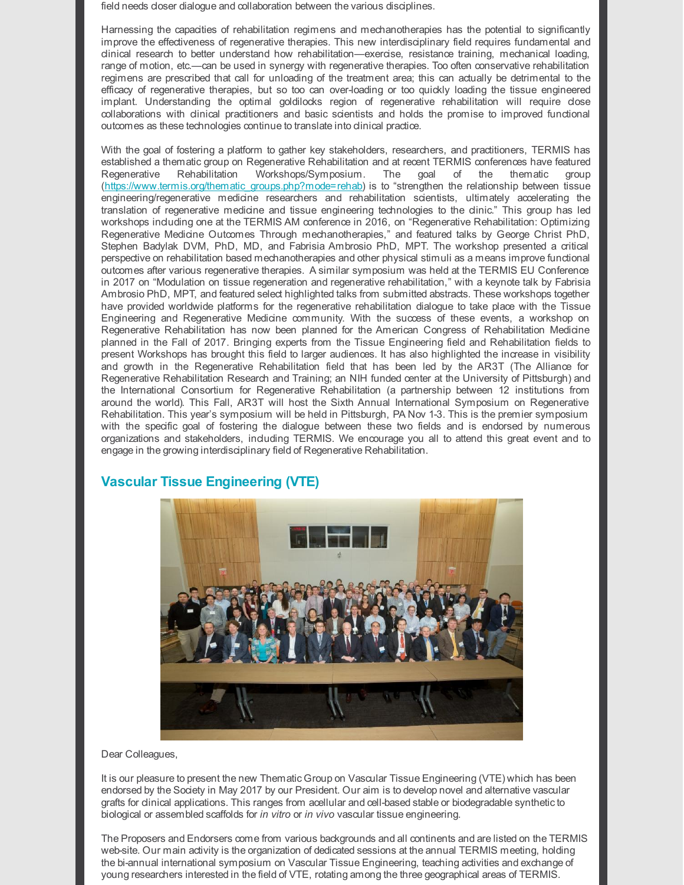field needs closer dialogue and collaboration between the various disciplines.

Harnessing the capacities of rehabilitation regimens and mechanotherapies has the potential to significantly improve the effectiveness of regenerative therapies. This new interdisciplinary field requires fundamental and clinical research to better understand how rehabilitation—exercise, resistance training, mechanical loading, range of motion, etc.—can be used in synergy with regenerative therapies. Too often conservative rehabilitation regimens are prescribed that call for unloading of the treatment area; this can actually be detrimental to the efficacy of regenerative therapies, but so too can over-loading or too quickly loading the tissue engineered implant. Understanding the optimal goldilocks region of regenerative rehabilitation will require close collaborations with clinical practitioners and basic scientists and holds the promise to improved functional outcomes as these technologies continue to translate into clinical practice.

With the goal of fostering a platform to gather key stakeholders, researchers, and practitioners, TERMIS has established a thematic group on Regenerative Rehabilitation and at recent TERMIS conferences have featured Regenerative Rehabilitation Workshops/Symposium. The goal of the thematic group [\(https://www.termis.org/thematic\\_groups.php?mode=rehab](https://www.termis.org/thematic_groups.php?mode=rehab)) is to "strengthen the relationship between tissue engineering/regenerative medicine researchers and rehabilitation scientists, ultimately accelerating the translation of regenerative medicine and tissue engineering technologies to the clinic." This group has led workshops including one at the TERMIS AM conference in 2016, on "Regenerative Rehabilitation: Optimizing Regenerative Medicine Outcomes Through mechanotherapies," and featured talks by George Christ PhD, Stephen Badylak DVM, PhD, MD, and Fabrisia Ambrosio PhD, MPT. The workshop presented a critical perspective on rehabilitation based mechanotherapies and other physical stimuli as a means improve functional outcomes after various regenerative therapies. A similar symposium was held at the TERMIS EU Conference in 2017 on "Modulation on tissue regeneration and regenerative rehabilitation," with a keynote talk by Fabrisia Ambrosio PhD, MPT, and featured select highlighted talks from submitted abstracts. These workshops together have provided worldwide platforms for the regenerative rehabilitation dialogue to take place with the Tissue Engineering and Regenerative Medicine community. With the success of these events, a workshop on Regenerative Rehabilitation has now been planned for the American Congress of Rehabilitation Medicine planned in the Fall of 2017. Bringing experts from the Tissue Engineering field and Rehabilitation fields to present Workshops has brought this field to larger audiences. It has also highlighted the increase in visibility and growth in the Regenerative Rehabilitation field that has been led by the AR3T (The Alliance for Regenerative Rehabilitation Research and Training; an NIH funded center at the University of Pittsburgh) and the International Consortium for Regenerative Rehabilitation (a partnership between 12 institutions from around the world). This Fall, AR3T will host the Sixth Annual International Symposium on Regenerative Rehabilitation. This year's symposium will be held in Pittsburgh, PA Nov 1-3. This is the premier symposium with the specific goal of fostering the dialogue between these two fields and is endorsed by numerous organizations and stakeholders, including TERMIS. We encourage you all to attend this great event and to engage in the growing interdisciplinary field of Regenerative Rehabilitation.



## **Vascular Tissue Engineering (VTE)**

Dear Colleagues,

It is our pleasure to present the new Thematic Group on Vascular Tissue Engineering (VTE) which has been endorsed by the Society in May 2017 by our President. Our aim is to develop novel and alternative vascular grafts for clinical applications. This ranges from acellular and cell-based stable or biodegradable syntheticto biological or assembled scaffolds for *in vitro* or *in vivo* vascular tissue engineering.

The Proposers and Endorsers come from various backgrounds and all continents and are listed on the TERMIS web-site. Our main activity is the organization of dedicated sessions at the annual TERMIS meeting, holding the bi-annual international symposium on Vascular Tissue Engineering, teaching activities and exchange of young researchers interested in the field of VTE, rotating among the three geographical areas of TERMIS.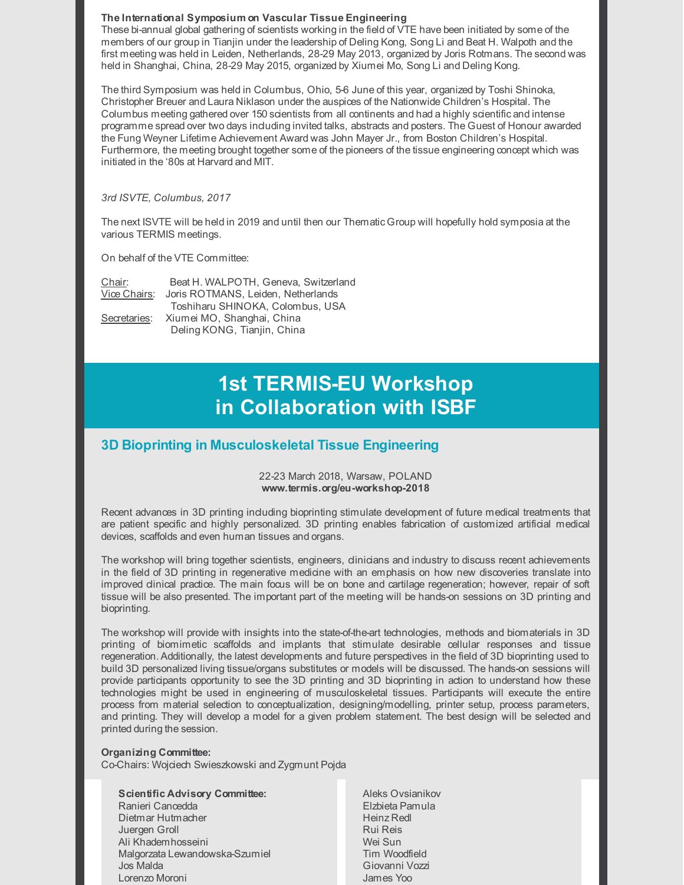#### **The International Symposium on Vascular Tissue Engineering**

These bi-annual global gathering of scientists working in the field of VTE have been initiated by some of the members of our group in Tianjin under the leadership of Deling Kong, Song Li and Beat H. Walpoth and the first meeting was held in Leiden, Netherlands, 28-29 May 2013, organized by Joris Rotmans. The second was held in Shanghai, China, 28-29 May 2015, organized by Xiumei Mo, Song Li and Deling Kong.

The third Symposium was held in Columbus, Ohio, 5-6 June of this year, organized by Toshi Shinoka, Christopher Breuer and Laura Niklason under the auspices of the Nationwide Children's Hospital. The Columbus meeting gathered over 150 scientists from all continents and had a highly scientific and intense programme spread over two days including invited talks, abstracts and posters. The Guest of Honour awarded the Fung Weyner Lifetime Achievement Award was John Mayer Jr., from Boston Children's Hospital. Furthermore, the meeting brought together some of the pioneers of the tissue engineering concept which was initiated in the '80s at Harvard and MIT.

#### *3rd ISVTE, Columbus, 2017*

The next ISVTE will be held in 2019 and until then our Thematic Group will hopefully hold symposia at the various TERMIS meetings.

On behalf of the VTE Committee:

| Chair:       | Beat H. WALPOTH, Geneva, Switzerland |
|--------------|--------------------------------------|
| Vice Chairs: | Joris ROTMANS, Leiden, Netherlands   |
|              | Toshiharu SHINOKA, Colombus, USA     |
| Secretaries: | Xiumei MO, Shanghai, China           |
|              | Deling KONG, Tianjin, China          |

# **1st TERMIS-EU Workshop in Collaboration with ISBF**

# **3D Bioprinting in Musculoskeletal Tissue Engineering**

#### 22-23 March 2018, Warsaw, POLAND **www.termis.org/eu-workshop-2018**

Recent advances in 3D printing including bioprinting stimulate development of future medical treatments that are patient specific and highly personalized. 3D printing enables fabrication of customized artificial medical devices, scaffolds and even human tissues and organs.

The workshop will bring together scientists, engineers, clinicians and industry to discuss recent achievements in the field of 3D printing in regenerative medicine with an emphasis on how new discoveries translate into improved clinical practice. The main focus will be on bone and cartilage regeneration; however, repair of soft tissue will be also presented. The important part of the meeting will be hands-on sessions on 3D printing and bioprinting.

The workshop will provide with insights into the state-of-the-art technologies, methods and biomaterials in 3D printing of biomimetic scaffolds and implants that stimulate desirable cellular responses and tissue regeneration. Additionally, the latest developments and future perspectives in the field of 3D bioprinting used to build 3D personalized living tissue/organs substitutes or models will be discussed. The hands-on sessions will provide participants opportunity to see the 3D printing and 3D bioprinting in action to understand how these technologies might be used in engineering of musculoskeletal tissues. Participants will execute the entire process from material selection to conceptualization, designing/modelling, printer setup, process parameters, and printing. They will develop a model for a given problem statement. The best design will be selected and printed during the session.

### **Organizing Committee:**

Co-Chairs: Wojciech Swieszkowski and Zygmunt Pojda

## **Scientific Advisory Committee:**

- Ranieri Cancedda Dietmar Hutmacher Juergen Groll Ali Khademhosseini Malgorzata Lewandowska-Szumiel Jos Malda Lorenzo Moroni
- Aleks Ovsianikov Elzbieta Pamula Heinz Redl Rui Reis Wei Sun Tim Woodfield Giovanni Vozzi James Yoo